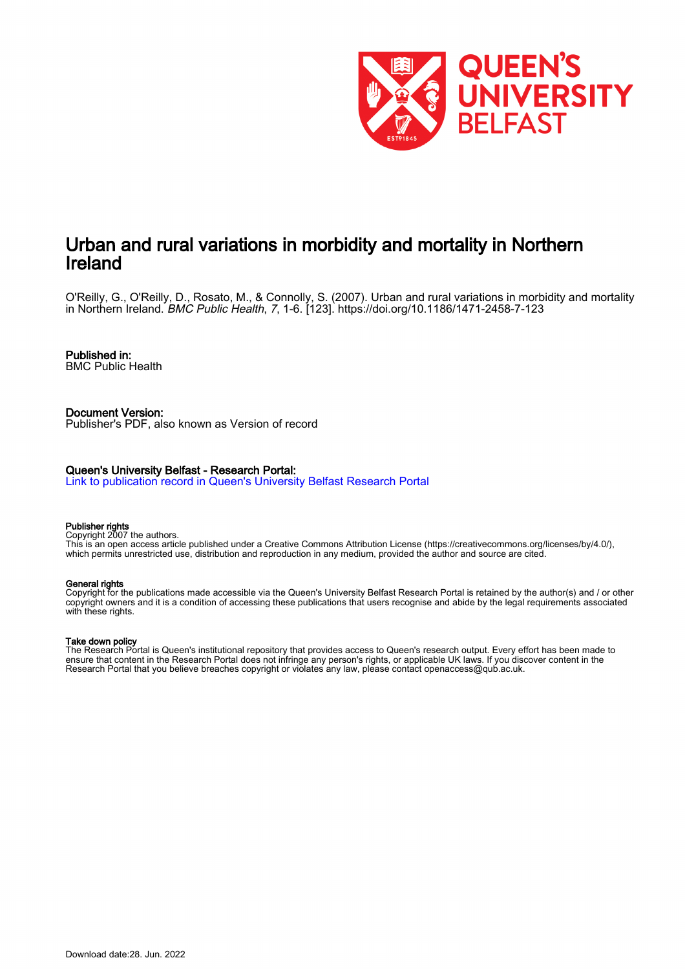

# Urban and rural variations in morbidity and mortality in Northern Ireland

O'Reilly, G., O'Reilly, D., Rosato, M., & Connolly, S. (2007). Urban and rural variations in morbidity and mortality in Northern Ireland. BMC Public Health, 7, 1-6. [123]. <https://doi.org/10.1186/1471-2458-7-123>

# Published in:

BMC Public Health

#### Document Version: Publisher's PDF, also known as Version of record

### Queen's University Belfast - Research Portal:

[Link to publication record in Queen's University Belfast Research Portal](https://pure.qub.ac.uk/en/publications/19443289-d399-45fd-b2cf-3727c4fa6fe4)

#### Publisher rights

Copyright 2007 the authors.

This is an open access article published under a Creative Commons Attribution License (https://creativecommons.org/licenses/by/4.0/), which permits unrestricted use, distribution and reproduction in any medium, provided the author and source are cited.

#### General rights

Copyright for the publications made accessible via the Queen's University Belfast Research Portal is retained by the author(s) and / or other copyright owners and it is a condition of accessing these publications that users recognise and abide by the legal requirements associated with these rights.

## Take down policy

The Research Portal is Queen's institutional repository that provides access to Queen's research output. Every effort has been made to ensure that content in the Research Portal does not infringe any person's rights, or applicable UK laws. If you discover content in the Research Portal that you believe breaches copyright or violates any law, please contact openaccess@qub.ac.uk.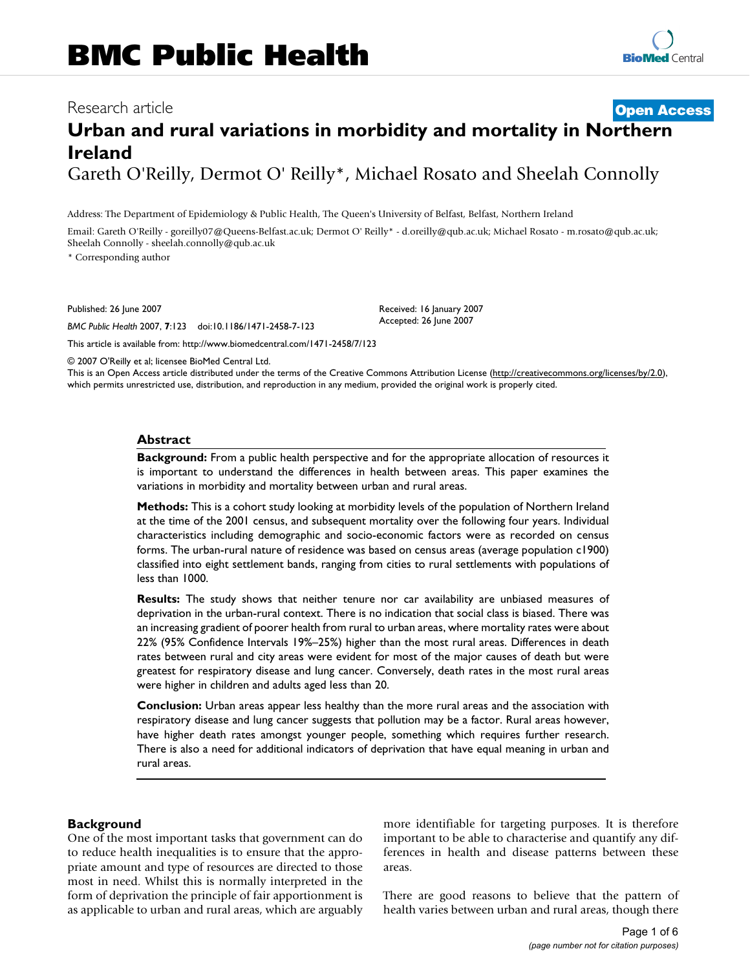# Research article **[Open Access](http://www.biomedcentral.com/info/about/charter/) Urban and rural variations in morbidity and mortality in Northern Ireland** Gareth O'Reilly, Dermot O' Reilly\*, Michael Rosato and Sheelah Connolly

Address: The Department of Epidemiology & Public Health, The Queen's University of Belfast, Belfast, Northern Ireland

Email: Gareth O'Reilly - goreilly07@Queens-Belfast.ac.uk; Dermot O' Reilly\* - d.oreilly@qub.ac.uk; Michael Rosato - m.rosato@qub.ac.uk; Sheelah Connolly - sheelah.connolly@qub.ac.uk

\* Corresponding author

Published: 26 June 2007

*BMC Public Health* 2007, **7**:123 doi:10.1186/1471-2458-7-123

[This article is available from: http://www.biomedcentral.com/1471-2458/7/123](http://www.biomedcentral.com/1471-2458/7/123)

© 2007 O'Reilly et al; licensee BioMed Central Ltd.

This is an Open Access article distributed under the terms of the Creative Commons Attribution License [\(http://creativecommons.org/licenses/by/2.0\)](http://creativecommons.org/licenses/by/2.0), which permits unrestricted use, distribution, and reproduction in any medium, provided the original work is properly cited.

Received: 16 January 2007 Accepted: 26 June 2007

#### **Abstract**

**Background:** From a public health perspective and for the appropriate allocation of resources it is important to understand the differences in health between areas. This paper examines the variations in morbidity and mortality between urban and rural areas.

**Methods:** This is a cohort study looking at morbidity levels of the population of Northern Ireland at the time of the 2001 census, and subsequent mortality over the following four years. Individual characteristics including demographic and socio-economic factors were as recorded on census forms. The urban-rural nature of residence was based on census areas (average population c1900) classified into eight settlement bands, ranging from cities to rural settlements with populations of less than 1000.

**Results:** The study shows that neither tenure nor car availability are unbiased measures of deprivation in the urban-rural context. There is no indication that social class is biased. There was an increasing gradient of poorer health from rural to urban areas, where mortality rates were about 22% (95% Confidence Intervals 19%–25%) higher than the most rural areas. Differences in death rates between rural and city areas were evident for most of the major causes of death but were greatest for respiratory disease and lung cancer. Conversely, death rates in the most rural areas were higher in children and adults aged less than 20.

**Conclusion:** Urban areas appear less healthy than the more rural areas and the association with respiratory disease and lung cancer suggests that pollution may be a factor. Rural areas however, have higher death rates amongst younger people, something which requires further research. There is also a need for additional indicators of deprivation that have equal meaning in urban and rural areas.

### **Background**

One of the most important tasks that government can do to reduce health inequalities is to ensure that the appropriate amount and type of resources are directed to those most in need. Whilst this is normally interpreted in the form of deprivation the principle of fair apportionment is as applicable to urban and rural areas, which are arguably more identifiable for targeting purposes. It is therefore important to be able to characterise and quantify any differences in health and disease patterns between these areas.

There are good reasons to believe that the pattern of health varies between urban and rural areas, though there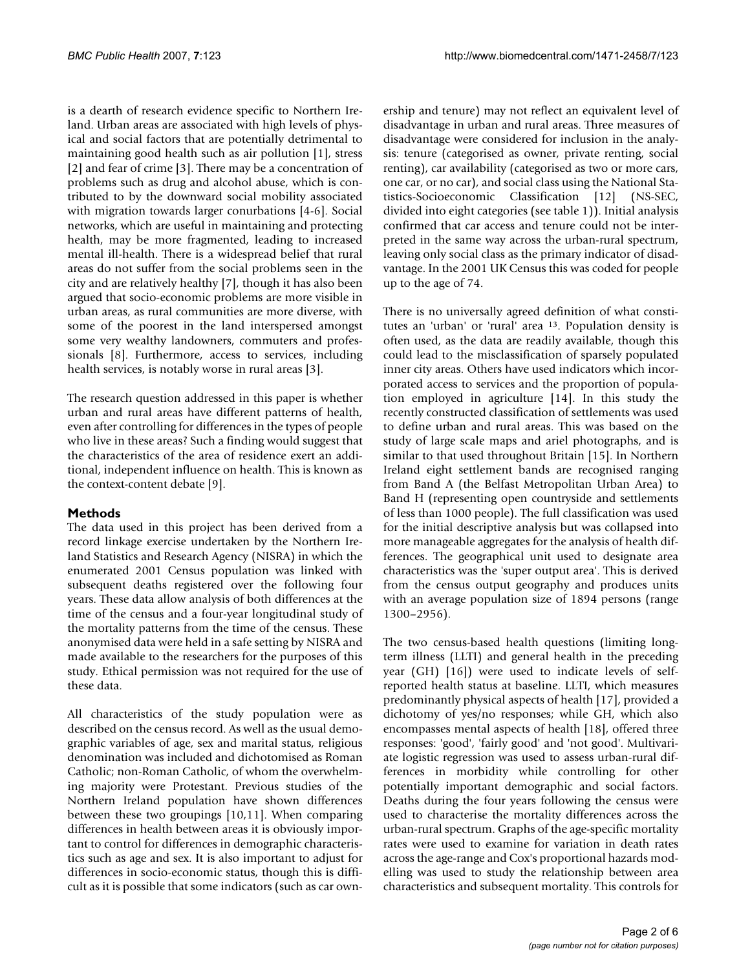is a dearth of research evidence specific to Northern Ireland. Urban areas are associated with high levels of physical and social factors that are potentially detrimental to maintaining good health such as air pollution [1], stress [2] and fear of crime [3]. There may be a concentration of problems such as drug and alcohol abuse, which is contributed to by the downward social mobility associated with migration towards larger conurbations [4-6]. Social networks, which are useful in maintaining and protecting health, may be more fragmented, leading to increased mental ill-health. There is a widespread belief that rural areas do not suffer from the social problems seen in the city and are relatively healthy [7], though it has also been argued that socio-economic problems are more visible in urban areas, as rural communities are more diverse, with some of the poorest in the land interspersed amongst some very wealthy landowners, commuters and professionals [8]. Furthermore, access to services, including health services, is notably worse in rural areas [3].

The research question addressed in this paper is whether urban and rural areas have different patterns of health, even after controlling for differences in the types of people who live in these areas? Such a finding would suggest that the characteristics of the area of residence exert an additional, independent influence on health. This is known as the context-content debate [9].

# **Methods**

The data used in this project has been derived from a record linkage exercise undertaken by the Northern Ireland Statistics and Research Agency (NISRA) in which the enumerated 2001 Census population was linked with subsequent deaths registered over the following four years. These data allow analysis of both differences at the time of the census and a four-year longitudinal study of the mortality patterns from the time of the census. These anonymised data were held in a safe setting by NISRA and made available to the researchers for the purposes of this study. Ethical permission was not required for the use of these data.

All characteristics of the study population were as described on the census record. As well as the usual demographic variables of age, sex and marital status, religious denomination was included and dichotomised as Roman Catholic; non-Roman Catholic, of whom the overwhelming majority were Protestant. Previous studies of the Northern Ireland population have shown differences between these two groupings [10,11]. When comparing differences in health between areas it is obviously important to control for differences in demographic characteristics such as age and sex. It is also important to adjust for differences in socio-economic status, though this is difficult as it is possible that some indicators (such as car ownership and tenure) may not reflect an equivalent level of disadvantage in urban and rural areas. Three measures of disadvantage were considered for inclusion in the analysis: tenure (categorised as owner, private renting, social renting), car availability (categorised as two or more cars, one car, or no car), and social class using the National Statistics-Socioeconomic Classification [12] (NS-SEC, divided into eight categories (see table 1)). Initial analysis confirmed that car access and tenure could not be interpreted in the same way across the urban-rural spectrum, leaving only social class as the primary indicator of disadvantage. In the 2001 UK Census this was coded for people up to the age of 74.

There is no universally agreed definition of what constitutes an 'urban' or 'rural' area 13. Population density is often used, as the data are readily available, though this could lead to the misclassification of sparsely populated inner city areas. Others have used indicators which incorporated access to services and the proportion of population employed in agriculture [14]. In this study the recently constructed classification of settlements was used to define urban and rural areas. This was based on the study of large scale maps and ariel photographs, and is similar to that used throughout Britain [15]. In Northern Ireland eight settlement bands are recognised ranging from Band A (the Belfast Metropolitan Urban Area) to Band H (representing open countryside and settlements of less than 1000 people). The full classification was used for the initial descriptive analysis but was collapsed into more manageable aggregates for the analysis of health differences. The geographical unit used to designate area characteristics was the 'super output area'. This is derived from the census output geography and produces units with an average population size of 1894 persons (range 1300–2956).

The two census-based health questions (limiting longterm illness (LLTI) and general health in the preceding year (GH) [16]) were used to indicate levels of selfreported health status at baseline. LLTI, which measures predominantly physical aspects of health [17], provided a dichotomy of yes/no responses; while GH, which also encompasses mental aspects of health [18], offered three responses: 'good', 'fairly good' and 'not good'. Multivariate logistic regression was used to assess urban-rural differences in morbidity while controlling for other potentially important demographic and social factors. Deaths during the four years following the census were used to characterise the mortality differences across the urban-rural spectrum. Graphs of the age-specific mortality rates were used to examine for variation in death rates across the age-range and Cox's proportional hazards modelling was used to study the relationship between area characteristics and subsequent mortality. This controls for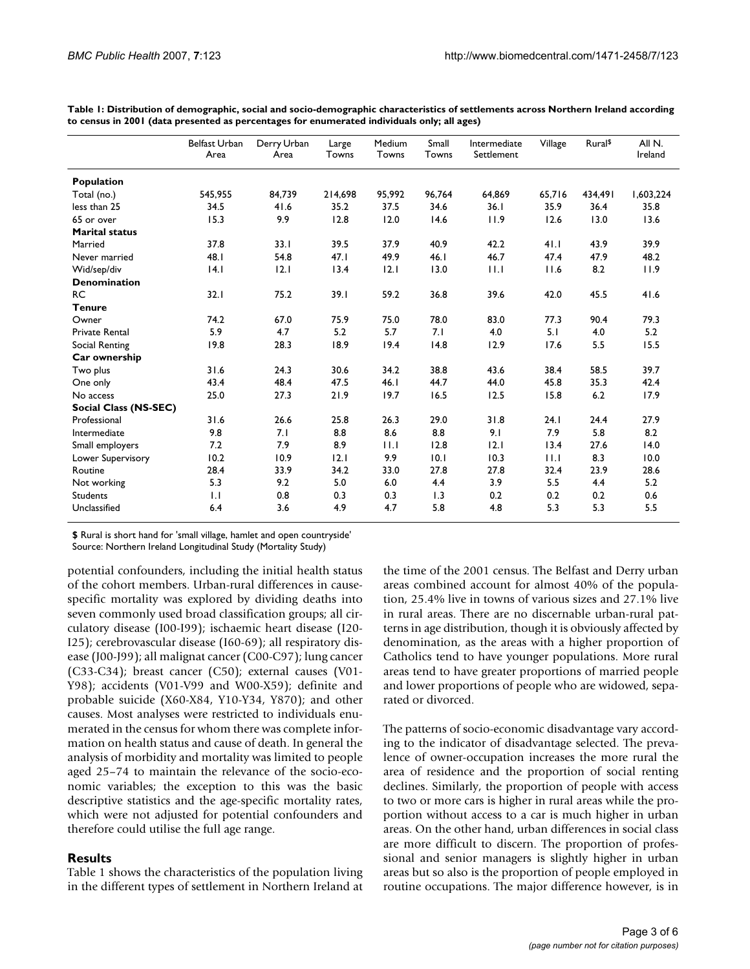|                       | <b>Belfast Urban</b><br>Area | Derry Urban<br>Area | Large<br>Towns | Medium<br>Towns | Small<br>Towns | Intermediate<br>Settlement | Village | Rural <sup>\$</sup> | All N.<br>Ireland |
|-----------------------|------------------------------|---------------------|----------------|-----------------|----------------|----------------------------|---------|---------------------|-------------------|
| Population            |                              |                     |                |                 |                |                            |         |                     |                   |
| Total (no.)           | 545,955                      | 84,739              | 214,698        | 95,992          | 96,764         | 64,869                     | 65,716  | 434,491             | 1,603,224         |
| less than 25          | 34.5                         | 41.6                | 35.2           | 37.5            | 34.6           | 36.1                       | 35.9    | 36.4                | 35.8              |
| 65 or over            | 15.3                         | 9.9                 | 12.8           | 12.0            | 14.6           | 11.9                       | 12.6    | 13.0                | 13.6              |
| <b>Marital status</b> |                              |                     |                |                 |                |                            |         |                     |                   |
| Married               | 37.8                         | 33.1                | 39.5           | 37.9            | 40.9           | 42.2                       | 41.1    | 43.9                | 39.9              |
| Never married         | 48.1                         | 54.8                | 47.1           | 49.9            | 46.1           | 46.7                       | 47.4    | 47.9                | 48.2              |
| Wid/sep/div           | 4.1                          | 12.1                | 13.4           | 12.1            | 13.0           | 11.1                       | 11.6    | 8.2                 | 11.9              |
| <b>Denomination</b>   |                              |                     |                |                 |                |                            |         |                     |                   |
| <b>RC</b>             | 32.1                         | 75.2                | 39.1           | 59.2            | 36.8           | 39.6                       | 42.0    | 45.5                | 41.6              |
| <b>Tenure</b>         |                              |                     |                |                 |                |                            |         |                     |                   |
| Owner                 | 74.2                         | 67.0                | 75.9           | 75.0            | 78.0           | 83.0                       | 77.3    | 90.4                | 79.3              |
| <b>Private Rental</b> | 5.9                          | 4.7                 | 5.2            | 5.7             | 7.1            | 4.0                        | 5.1     | 4.0                 | 5.2               |
| Social Renting        | 19.8                         | 28.3                | 18.9           | 19.4            | 14.8           | 12.9                       | 17.6    | 5.5                 | 15.5              |
| Car ownership         |                              |                     |                |                 |                |                            |         |                     |                   |
| Two plus              | 31.6                         | 24.3                | 30.6           | 34.2            | 38.8           | 43.6                       | 38.4    | 58.5                | 39.7              |
| One only              | 43.4                         | 48.4                | 47.5           | 46.1            | 44.7           | 44.0                       | 45.8    | 35.3                | 42.4              |
| No access             | 25.0                         | 27.3                | 21.9           | 19.7            | 16.5           | 12.5                       | 15.8    | 6.2                 | 17.9              |
| Social Class (NS-SEC) |                              |                     |                |                 |                |                            |         |                     |                   |
| Professional          | 31.6                         | 26.6                | 25.8           | 26.3            | 29.0           | 31.8                       | 24.1    | 24.4                | 27.9              |
| Intermediate          | 9.8                          | 7.1                 | 8.8            | 8.6             | 8.8            | 9.1                        | 7.9     | 5.8                 | 8.2               |
| Small employers       | 7.2                          | 7.9                 | 8.9            | 11.1            | 12.8           | 12.1                       | 13.4    | 27.6                | 14.0              |
| Lower Supervisory     | 10.2                         | 10.9                | 2.1            | 9.9             | 10.1           | 10.3                       | 11.1    | 8.3                 | 10.0              |
| Routine               | 28.4                         | 33.9                | 34.2           | 33.0            | 27.8           | 27.8                       | 32.4    | 23.9                | 28.6              |
| Not working           | 5.3                          | 9.2                 | 5.0            | 6.0             | 4.4            | 3.9                        | 5.5     | 4.4                 | 5.2               |
| <b>Students</b>       | $  \cdot  $                  | 0.8                 | 0.3            | 0.3             | 1.3            | 0.2                        | 0.2     | 0.2                 | 0.6               |
| Unclassified          | 6.4                          | 3.6                 | 4.9            | 4.7             | 5.8            | 4.8                        | 5.3     | 5.3                 | 5.5               |

**Table 1: Distribution of demographic, social and socio-demographic characteristics of settlements across Northern Ireland according to census in 2001 (data presented as percentages for enumerated individuals only; all ages)**

**\$** Rural is short hand for 'small village, hamlet and open countryside'

Source: Northern Ireland Longitudinal Study (Mortality Study)

potential confounders, including the initial health status of the cohort members. Urban-rural differences in causespecific mortality was explored by dividing deaths into seven commonly used broad classification groups; all circulatory disease (I00-I99); ischaemic heart disease (I20- I25); cerebrovascular disease (I60-69); all respiratory disease (J00-J99); all malignat cancer (C00-C97); lung cancer (C33-C34); breast cancer (C50); external causes (V01- Y98); accidents (V01-V99 and W00-X59); definite and probable suicide (X60-X84, Y10-Y34, Y870); and other causes. Most analyses were restricted to individuals enumerated in the census for whom there was complete information on health status and cause of death. In general the analysis of morbidity and mortality was limited to people aged 25–74 to maintain the relevance of the socio-economic variables; the exception to this was the basic descriptive statistics and the age-specific mortality rates, which were not adjusted for potential confounders and therefore could utilise the full age range.

# **Results**

Table 1 shows the characteristics of the population living in the different types of settlement in Northern Ireland at the time of the 2001 census. The Belfast and Derry urban areas combined account for almost 40% of the population, 25.4% live in towns of various sizes and 27.1% live in rural areas. There are no discernable urban-rural patterns in age distribution, though it is obviously affected by denomination, as the areas with a higher proportion of Catholics tend to have younger populations. More rural areas tend to have greater proportions of married people and lower proportions of people who are widowed, separated or divorced.

The patterns of socio-economic disadvantage vary according to the indicator of disadvantage selected. The prevalence of owner-occupation increases the more rural the area of residence and the proportion of social renting declines. Similarly, the proportion of people with access to two or more cars is higher in rural areas while the proportion without access to a car is much higher in urban areas. On the other hand, urban differences in social class are more difficult to discern. The proportion of professional and senior managers is slightly higher in urban areas but so also is the proportion of people employed in routine occupations. The major difference however, is in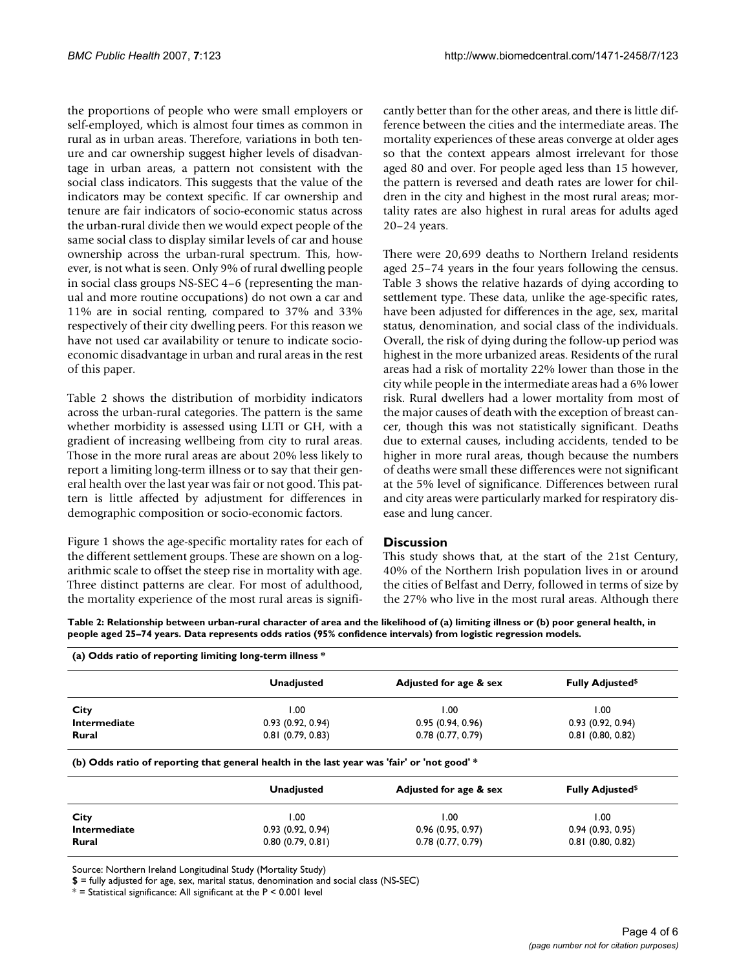the proportions of people who were small employers or self-employed, which is almost four times as common in rural as in urban areas. Therefore, variations in both tenure and car ownership suggest higher levels of disadvantage in urban areas, a pattern not consistent with the social class indicators. This suggests that the value of the indicators may be context specific. If car ownership and tenure are fair indicators of socio-economic status across the urban-rural divide then we would expect people of the same social class to display similar levels of car and house ownership across the urban-rural spectrum. This, however, is not what is seen. Only 9% of rural dwelling people in social class groups NS-SEC 4–6 (representing the manual and more routine occupations) do not own a car and 11% are in social renting, compared to 37% and 33% respectively of their city dwelling peers. For this reason we have not used car availability or tenure to indicate socioeconomic disadvantage in urban and rural areas in the rest of this paper.

Table 2 shows the distribution of morbidity indicators across the urban-rural categories. The pattern is the same whether morbidity is assessed using LLTI or GH, with a gradient of increasing wellbeing from city to rural areas. Those in the more rural areas are about 20% less likely to report a limiting long-term illness or to say that their general health over the last year was fair or not good. This pattern is little affected by adjustment for differences in demographic composition or socio-economic factors.

Figure 1 shows the age-specific mortality rates for each of the different settlement groups. These are shown on a logarithmic scale to offset the steep rise in mortality with age. Three distinct patterns are clear. For most of adulthood, the mortality experience of the most rural areas is significantly better than for the other areas, and there is little difference between the cities and the intermediate areas. The mortality experiences of these areas converge at older ages so that the context appears almost irrelevant for those aged 80 and over. For people aged less than 15 however, the pattern is reversed and death rates are lower for children in the city and highest in the most rural areas; mortality rates are also highest in rural areas for adults aged 20–24 years.

There were 20,699 deaths to Northern Ireland residents aged 25–74 years in the four years following the census. Table 3 shows the relative hazards of dying according to settlement type. These data, unlike the age-specific rates, have been adjusted for differences in the age, sex, marital status, denomination, and social class of the individuals. Overall, the risk of dying during the follow-up period was highest in the more urbanized areas. Residents of the rural areas had a risk of mortality 22% lower than those in the city while people in the intermediate areas had a 6% lower risk. Rural dwellers had a lower mortality from most of the major causes of death with the exception of breast cancer, though this was not statistically significant. Deaths due to external causes, including accidents, tended to be higher in more rural areas, though because the numbers of deaths were small these differences were not significant at the 5% level of significance. Differences between rural and city areas were particularly marked for respiratory disease and lung cancer.

# **Discussion**

This study shows that, at the start of the 21st Century, 40% of the Northern Irish population lives in or around the cities of Belfast and Derry, followed in terms of size by the 27% who live in the most rural areas. Although there

**Table 2: Relationship between urban-rural character of area and the likelihood of (a) limiting illness or (b) poor general health, in people aged 25–74 years. Data represents odds ratios (95% confidence intervals) from logistic regression models.**

| (a) Odds ratio of reporting limiting long-term illness * |                        |                                                                                             |  |  |  |  |  |
|----------------------------------------------------------|------------------------|---------------------------------------------------------------------------------------------|--|--|--|--|--|
| <b>Unadjusted</b>                                        | Adjusted for age & sex | <b>Fully Adjusted</b> <sup>\$</sup>                                                         |  |  |  |  |  |
| 1.00                                                     | 1.00                   | 1.00                                                                                        |  |  |  |  |  |
| 0.93(0.92, 0.94)                                         | 0.95(0.94, 0.96)       | 0.93(0.92, 0.94)                                                                            |  |  |  |  |  |
| $0.81$ (0.79, 0.83)                                      | 0.78(0.77, 0.79)       | $0.81$ (0.80, 0.82)                                                                         |  |  |  |  |  |
|                                                          |                        |                                                                                             |  |  |  |  |  |
| <b>Unadjusted</b>                                        | Adjusted for age & sex | <b>Fully Adjusted</b> <sup>\$</sup>                                                         |  |  |  |  |  |
| 1.00                                                     | 1.00                   | 1.00                                                                                        |  |  |  |  |  |
| 0.93(0.92, 0.94)                                         | 0.96(0.95, 0.97)       | 0.94(0.93, 0.95)                                                                            |  |  |  |  |  |
| 0.80(0.79, 0.81)                                         | 0.78(0.77, 0.79)       | $0.81$ (0.80, 0.82)                                                                         |  |  |  |  |  |
|                                                          |                        | (b) Odds ratio of reporting that general health in the last year was 'fair' or 'not good' * |  |  |  |  |  |

Source: Northern Ireland Longitudinal Study (Mortality Study)

**\$** = fully adjusted for age, sex, marital status, denomination and social class (NS-SEC)

 $*$  = Statistical significance: All significant at the P < 0.001 level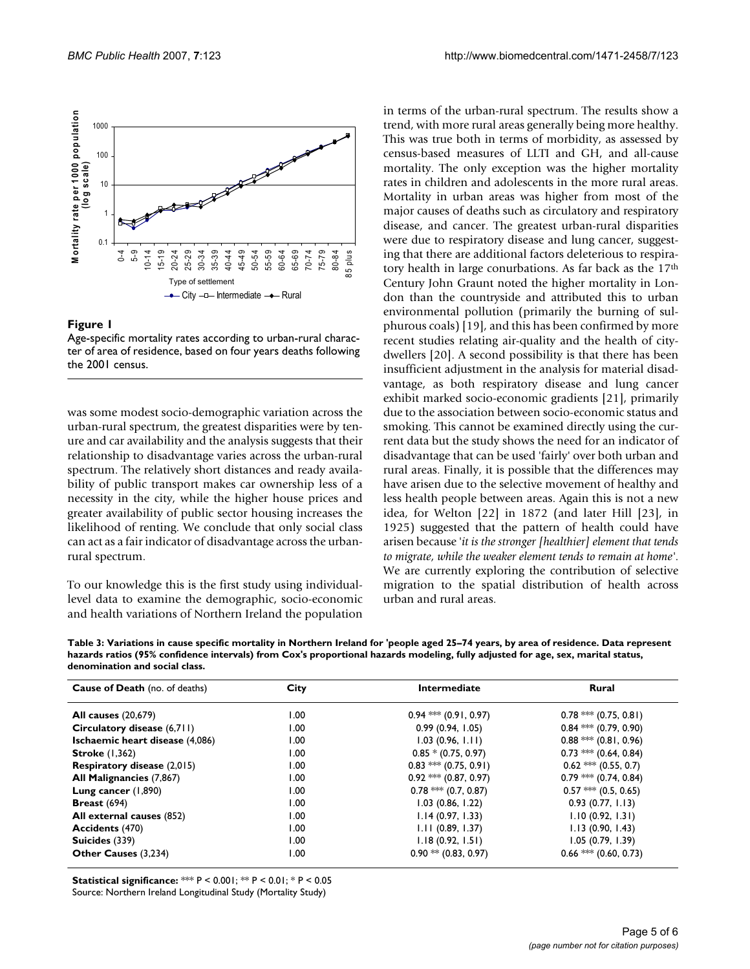

### Figure 1

Age-specific mortality rates according to urban-rural character of area of residence, based on four years deaths following the 2001 census.

was some modest socio-demographic variation across the urban-rural spectrum, the greatest disparities were by tenure and car availability and the analysis suggests that their relationship to disadvantage varies across the urban-rural spectrum. The relatively short distances and ready availability of public transport makes car ownership less of a necessity in the city, while the higher house prices and greater availability of public sector housing increases the likelihood of renting. We conclude that only social class can act as a fair indicator of disadvantage across the urbanrural spectrum.

To our knowledge this is the first study using individuallevel data to examine the demographic, socio-economic and health variations of Northern Ireland the population in terms of the urban-rural spectrum. The results show a trend, with more rural areas generally being more healthy. This was true both in terms of morbidity, as assessed by census-based measures of LLTI and GH, and all-cause mortality. The only exception was the higher mortality rates in children and adolescents in the more rural areas. Mortality in urban areas was higher from most of the major causes of deaths such as circulatory and respiratory disease, and cancer. The greatest urban-rural disparities were due to respiratory disease and lung cancer, suggesting that there are additional factors deleterious to respiratory health in large conurbations. As far back as the 17th Century John Graunt noted the higher mortality in London than the countryside and attributed this to urban environmental pollution (primarily the burning of sulphurous coals) [19], and this has been confirmed by more recent studies relating air-quality and the health of citydwellers [20]. A second possibility is that there has been insufficient adjustment in the analysis for material disadvantage, as both respiratory disease and lung cancer exhibit marked socio-economic gradients [21], primarily due to the association between socio-economic status and smoking. This cannot be examined directly using the current data but the study shows the need for an indicator of disadvantage that can be used 'fairly' over both urban and rural areas. Finally, it is possible that the differences may have arisen due to the selective movement of healthy and less health people between areas. Again this is not a new idea, for Welton [22] in 1872 (and later Hill [23], in 1925) suggested that the pattern of health could have arisen because '*it is the stronger [healthier] element that tends to migrate, while the weaker element tends to remain at home'*. We are currently exploring the contribution of selective migration to the spatial distribution of health across urban and rural areas.

**Table 3: Variations in cause specific mortality in Northern Ireland for 'people aged 25–74 years, by area of residence. Data represent hazards ratios (95% confidence intervals) from Cox's proportional hazards modeling, fully adjusted for age, sex, marital status, denomination and social class.**

| <b>Cause of Death</b> (no. of deaths) | City | <b>Intermediate</b>       | <b>Rural</b>              |  |
|---------------------------------------|------|---------------------------|---------------------------|--|
| <b>All causes</b> (20,679)            | 1.00 | $0.94$ *** (0.91, 0.97)   | $0.78$ *** $(0.75, 0.81)$ |  |
| Circulatory disease (6,711)           | 1.00 | 0.99(0.94, 1.05)          | $0.84$ *** $(0.79, 0.90)$ |  |
| Ischaemic heart disease (4,086)       | 00.1 | 1.03(0.96, 1.11)          | $0.88$ *** $(0.81, 0.96)$ |  |
| <b>Stroke</b> (1,362)                 | 1.00 | $0.85 * (0.75, 0.97)$     | $0.73$ *** $(0.64, 0.84)$ |  |
| <b>Respiratory disease (2,015)</b>    | 1.00 | $0.83$ *** $(0.75, 0.91)$ | $0.62$ *** $(0.55, 0.7)$  |  |
| All Malignancies (7,867)              | 1.00 | $0.92$ *** $(0.87, 0.97)$ | $0.79$ *** $(0.74, 0.84)$ |  |
| Lung cancer $(1,890)$                 | 00.1 | $0.78$ *** $(0.7, 0.87)$  | $0.57$ *** $(0.5, 0.65)$  |  |
| Breast $(694)$                        | 1.00 | 1.03(0.86, 1.22)          | 0.93(0.77, 1.13)          |  |
| All external causes (852)             | 00.1 | 1.14(0.97, 1.33)          | 1.10(0.92, 1.31)          |  |
| <b>Accidents (470)</b>                | 1.00 | 1.11(0.89, 1.37)          | 1.13(0.90, 1.43)          |  |
| Suicides (339)                        | 1.00 | 1.18(0.92, 1.51)          | 1.05(0.79, 1.39)          |  |
| Other Causes (3,234)                  | 1.00 | $0.90$ ** (0.83, 0.97)    | $0.66$ *** $(0.60, 0.73)$ |  |

**Statistical significance:** \*\*\* P < 0.001; \*\* P < 0.01; \* P < 0.05

Source: Northern Ireland Longitudinal Study (Mortality Study)